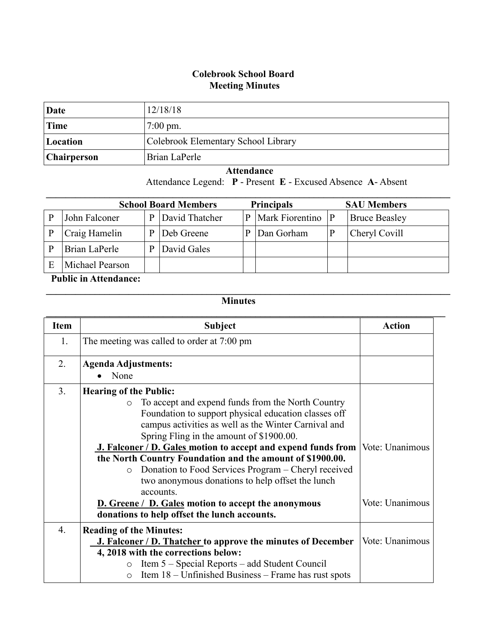## **Colebrook School Board Meeting Minutes**

| Date               | 12/18/18                            |
|--------------------|-------------------------------------|
| Time               | $7:00 \text{ pm}$ .                 |
| Location           | Colebrook Elementary School Library |
| <b>Chairperson</b> | Brian LaPerle                       |

## **Attendance**

Attendance Legend: **P** - Present **E** - Excused Absence **A**- Absent

| <b>Principals</b><br><b>School Board Members</b><br><b>SAU Members</b> |                 |   |                |   |                 |   |                      |
|------------------------------------------------------------------------|-----------------|---|----------------|---|-----------------|---|----------------------|
| P                                                                      | John Falconer   | P | David Thatcher | P | Mark Fiorentino | P | <b>Bruce Beasley</b> |
| P                                                                      | Craig Hamelin   | D | Deb Greene     | P | Dan Gorham      |   | Cheryl Covill        |
| P                                                                      | Brian LaPerle   |   | David Gales    |   |                 |   |                      |
| E                                                                      | Michael Pearson |   |                |   |                 |   |                      |

## **Public in Attendance:**

## **Minutes**

 $\mathcal{L}_\mathcal{L} = \{ \mathcal{L}_\mathcal{L} = \{ \mathcal{L}_\mathcal{L} = \{ \mathcal{L}_\mathcal{L} = \{ \mathcal{L}_\mathcal{L} = \{ \mathcal{L}_\mathcal{L} = \{ \mathcal{L}_\mathcal{L} = \{ \mathcal{L}_\mathcal{L} = \{ \mathcal{L}_\mathcal{L} = \{ \mathcal{L}_\mathcal{L} = \{ \mathcal{L}_\mathcal{L} = \{ \mathcal{L}_\mathcal{L} = \{ \mathcal{L}_\mathcal{L} = \{ \mathcal{L}_\mathcal{L} = \{ \mathcal{L}_\mathcal{$ 

| <b>Item</b>      | <b>Subject</b>                                                                       | <b>Action</b>   |
|------------------|--------------------------------------------------------------------------------------|-----------------|
| 1.               |                                                                                      |                 |
|                  | The meeting was called to order at 7:00 pm                                           |                 |
| 2.               | <b>Agenda Adjustments:</b>                                                           |                 |
|                  | None                                                                                 |                 |
| 3.               | <b>Hearing of the Public:</b>                                                        |                 |
|                  | To accept and expend funds from the North Country<br>$\circ$                         |                 |
|                  | Foundation to support physical education classes off                                 |                 |
|                  | campus activities as well as the Winter Carnival and                                 |                 |
|                  | Spring Fling in the amount of \$1900.00.                                             |                 |
|                  | <b>J. Falconer / D. Gales motion to accept and expend funds from Vote: Unanimous</b> |                 |
|                  | the North Country Foundation and the amount of \$1900.00.                            |                 |
|                  | Donation to Food Services Program – Cheryl received<br>$\circ$                       |                 |
|                  | two anonymous donations to help offset the lunch                                     |                 |
|                  | accounts.                                                                            |                 |
|                  | <b>D.</b> Greene / D. Gales motion to accept the anonymous                           | Vote: Unanimous |
|                  | donations to help offset the lunch accounts.                                         |                 |
| $\overline{4}$ . | <b>Reading of the Minutes:</b>                                                       |                 |
|                  | J. Falconer / D. Thatcher to approve the minutes of December                         | Vote: Unanimous |
|                  | 4, 2018 with the corrections below:                                                  |                 |
|                  | Item 5 – Special Reports – add Student Council<br>$\circ$                            |                 |
|                  | Item 18 – Unfinished Business – Frame has rust spots<br>$\circ$                      |                 |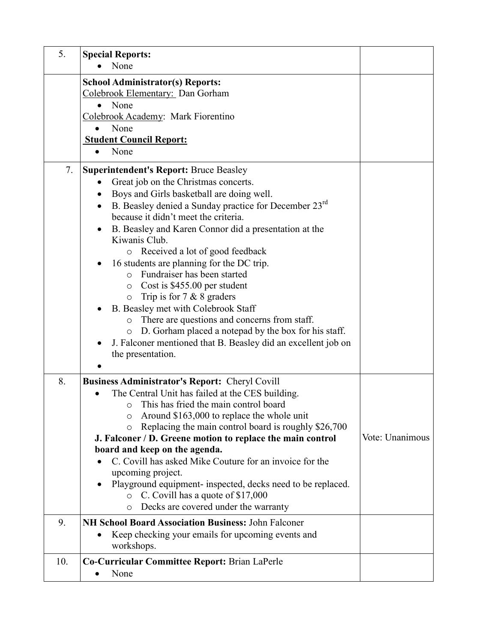| 5.  | <b>Special Reports:</b><br>None                                                                      |                 |
|-----|------------------------------------------------------------------------------------------------------|-----------------|
|     | <b>School Administrator(s) Reports:</b><br>Colebrook Elementary: Dan Gorham                          |                 |
|     | None                                                                                                 |                 |
|     | Colebrook Academy: Mark Fiorentino                                                                   |                 |
|     | None<br>$\bullet$                                                                                    |                 |
|     | <b>Student Council Report:</b>                                                                       |                 |
|     | None<br>$\bullet$                                                                                    |                 |
| 7.  | <b>Superintendent's Report: Bruce Beasley</b>                                                        |                 |
|     | Great job on the Christmas concerts.<br>$\bullet$                                                    |                 |
|     | Boys and Girls basketball are doing well.                                                            |                 |
|     | B. Beasley denied a Sunday practice for December 23 <sup>rd</sup><br>$\bullet$                       |                 |
|     | because it didn't meet the criteria.                                                                 |                 |
|     | B. Beasley and Karen Connor did a presentation at the<br>Kiwanis Club.                               |                 |
|     | Received a lot of good feedback<br>$\circ$                                                           |                 |
|     | 16 students are planning for the DC trip.                                                            |                 |
|     | Fundraiser has been started<br>$\Omega$                                                              |                 |
|     | Cost is \$455.00 per student<br>$\circ$                                                              |                 |
|     | Trip is for $7 & 8 & 8$ graders<br>$\circ$                                                           |                 |
|     | B. Beasley met with Colebrook Staff                                                                  |                 |
|     | There are questions and concerns from staff.<br>$\circ$                                              |                 |
|     | D. Gorham placed a notepad by the box for his staff.<br>$\circ$                                      |                 |
|     | J. Falconer mentioned that B. Beasley did an excellent job on                                        |                 |
|     | the presentation.                                                                                    |                 |
| 8.  |                                                                                                      |                 |
|     | <b>Business Administrator's Report: Cheryl Covill</b>                                                |                 |
|     | The Central Unit has failed at the CES building.<br>This has fried the main control board<br>$\circ$ |                 |
|     | Around \$163,000 to replace the whole unit<br>O                                                      |                 |
|     | Replacing the main control board is roughly \$26,700<br>$\circ$                                      |                 |
|     | J. Falconer / D. Greene motion to replace the main control                                           | Vote: Unanimous |
|     | board and keep on the agenda.                                                                        |                 |
|     | C. Covill has asked Mike Couture for an invoice for the                                              |                 |
|     | upcoming project.                                                                                    |                 |
|     | Playground equipment- inspected, decks need to be replaced.                                          |                 |
|     | C. Covill has a quote of \$17,000<br>$\circ$                                                         |                 |
|     | Decks are covered under the warranty<br>$\circ$                                                      |                 |
| 9.  | <b>NH School Board Association Business: John Falconer</b>                                           |                 |
|     | Keep checking your emails for upcoming events and                                                    |                 |
|     | workshops.                                                                                           |                 |
| 10. | Co-Curricular Committee Report: Brian LaPerle                                                        |                 |
|     | None<br>$\bullet$                                                                                    |                 |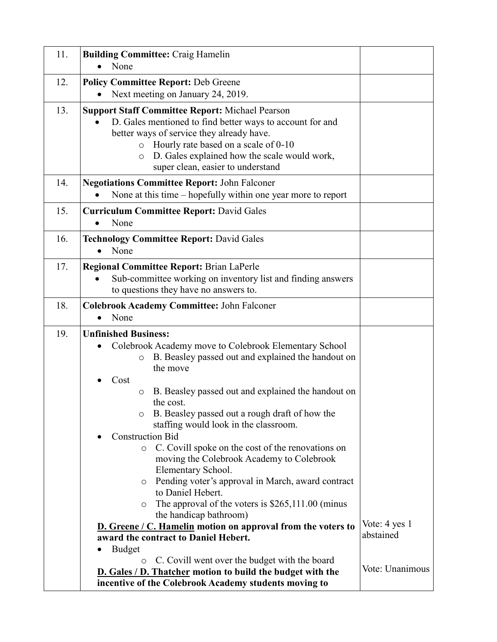| 11. | <b>Building Committee: Craig Hamelin</b><br>None                                                                                                                                                                                                                                                                                                                                                                                                                                                                                                                                                                                                                                           |                                               |
|-----|--------------------------------------------------------------------------------------------------------------------------------------------------------------------------------------------------------------------------------------------------------------------------------------------------------------------------------------------------------------------------------------------------------------------------------------------------------------------------------------------------------------------------------------------------------------------------------------------------------------------------------------------------------------------------------------------|-----------------------------------------------|
| 12. | <b>Policy Committee Report: Deb Greene</b><br>Next meeting on January 24, 2019.                                                                                                                                                                                                                                                                                                                                                                                                                                                                                                                                                                                                            |                                               |
| 13. | <b>Support Staff Committee Report: Michael Pearson</b><br>D. Gales mentioned to find better ways to account for and<br>$\bullet$<br>better ways of service they already have.<br>Hourly rate based on a scale of 0-10<br>$\circ$<br>D. Gales explained how the scale would work,<br>$\circ$<br>super clean, easier to understand                                                                                                                                                                                                                                                                                                                                                           |                                               |
| 14. | <b>Negotiations Committee Report: John Falconer</b><br>None at this time $-$ hopefully within one year more to report                                                                                                                                                                                                                                                                                                                                                                                                                                                                                                                                                                      |                                               |
| 15. | <b>Curriculum Committee Report: David Gales</b><br>None<br>$\bullet$                                                                                                                                                                                                                                                                                                                                                                                                                                                                                                                                                                                                                       |                                               |
| 16. | <b>Technology Committee Report: David Gales</b><br>None                                                                                                                                                                                                                                                                                                                                                                                                                                                                                                                                                                                                                                    |                                               |
| 17. | <b>Regional Committee Report: Brian LaPerle</b><br>Sub-committee working on inventory list and finding answers<br>to questions they have no answers to.                                                                                                                                                                                                                                                                                                                                                                                                                                                                                                                                    |                                               |
| 18. | <b>Colebrook Academy Committee: John Falconer</b><br>None                                                                                                                                                                                                                                                                                                                                                                                                                                                                                                                                                                                                                                  |                                               |
| 19. | <b>Unfinished Business:</b><br>Colebrook Academy move to Colebrook Elementary School<br>B. Beasley passed out and explained the handout on<br>$\circ$<br>the move<br>Cost<br>B. Beasley passed out and explained the handout on<br>$\circ$<br>the cost.<br>B. Beasley passed out a rough draft of how the<br>staffing would look in the classroom.<br><b>Construction Bid</b><br>C. Covill spoke on the cost of the renovations on<br>$\circ$<br>moving the Colebrook Academy to Colebrook<br>Elementary School.<br>Pending voter's approval in March, award contract<br>O<br>to Daniel Hebert.<br>The approval of the voters is $$265,111.00$ (minus<br>$\circ$<br>the handicap bathroom) |                                               |
|     | D. Greene / C. Hamelin motion on approval from the voters to<br>award the contract to Daniel Hebert.<br><b>Budget</b><br>C. Covill went over the budget with the board<br>$\circ$                                                                                                                                                                                                                                                                                                                                                                                                                                                                                                          | Vote: 4 yes 1<br>abstained<br>Vote: Unanimous |
|     | <b>D.</b> Gales / D. Thatcher motion to build the budget with the<br>incentive of the Colebrook Academy students moving to                                                                                                                                                                                                                                                                                                                                                                                                                                                                                                                                                                 |                                               |